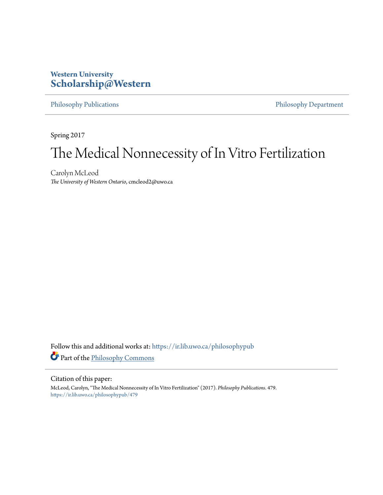### **Western University [Scholarship@Western](https://ir.lib.uwo.ca?utm_source=ir.lib.uwo.ca%2Fphilosophypub%2F479&utm_medium=PDF&utm_campaign=PDFCoverPages)**

[Philosophy Publications](https://ir.lib.uwo.ca/philosophypub?utm_source=ir.lib.uwo.ca%2Fphilosophypub%2F479&utm_medium=PDF&utm_campaign=PDFCoverPages) [Philosophy Department](https://ir.lib.uwo.ca/philosophy?utm_source=ir.lib.uwo.ca%2Fphilosophypub%2F479&utm_medium=PDF&utm_campaign=PDFCoverPages)

Spring 2017

# The Medical Nonnecessity of In Vitro Fertilization

Carolyn McLeod *The University of Western Ontario*, cmcleod2@uwo.ca

Follow this and additional works at: [https://ir.lib.uwo.ca/philosophypub](https://ir.lib.uwo.ca/philosophypub?utm_source=ir.lib.uwo.ca%2Fphilosophypub%2F479&utm_medium=PDF&utm_campaign=PDFCoverPages) Part of the [Philosophy Commons](http://network.bepress.com/hgg/discipline/525?utm_source=ir.lib.uwo.ca%2Fphilosophypub%2F479&utm_medium=PDF&utm_campaign=PDFCoverPages)

#### Citation of this paper:

McLeod, Carolyn, "The Medical Nonnecessity of In Vitro Fertilization" (2017). *Philosophy Publications*. 479. [https://ir.lib.uwo.ca/philosophypub/479](https://ir.lib.uwo.ca/philosophypub/479?utm_source=ir.lib.uwo.ca%2Fphilosophypub%2F479&utm_medium=PDF&utm_campaign=PDFCoverPages)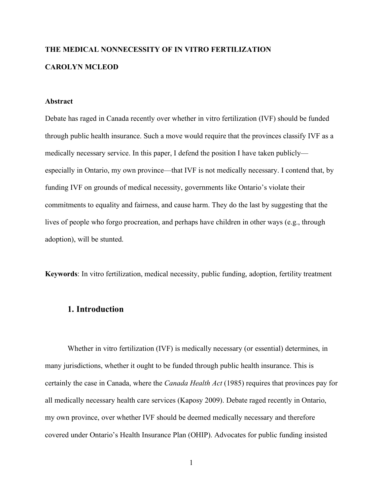## **THE MEDICAL NONNECESSITY OF IN VITRO FERTILIZATION CAROLYN MCLEOD**

#### **Abstract**

Debate has raged in Canada recently over whether in vitro fertilization (IVF) should be funded through public health insurance. Such a move would require that the provinces classify IVF as a medically necessary service. In this paper, I defend the position I have taken publicly especially in Ontario, my own province—that IVF is not medically necessary. I contend that, by funding IVF on grounds of medical necessity, governments like Ontario's violate their commitments to equality and fairness, and cause harm. They do the last by suggesting that the lives of people who forgo procreation, and perhaps have children in other ways (e.g., through adoption), will be stunted.

**Keywords**: In vitro fertilization, medical necessity, public funding, adoption, fertility treatment

#### **1. Introduction**

Whether in vitro fertilization (IVF) is medically necessary (or essential) determines, in many jurisdictions, whether it ought to be funded through public health insurance. This is certainly the case in Canada, where the *Canada Health Act* (1985) requires that provinces pay for all medically necessary health care services (Kaposy 2009). Debate raged recently in Ontario, my own province, over whether IVF should be deemed medically necessary and therefore covered under Ontario's Health Insurance Plan (OHIP). Advocates for public funding insisted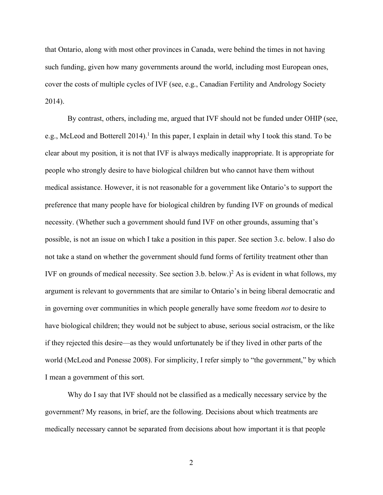that Ontario, along with most other provinces in Canada, were behind the times in not having such funding, given how many governments around the world, including most European ones, cover the costs of multiple cycles of IVF (see, e.g., Canadian Fertility and Andrology Society 2014).

By contrast, others, including me, argued that IVF should not be funded under OHIP (see, e.g., McLeod and Botterell 2014). <sup>1</sup> In this paper, I explain in detail why I took this stand. To be clear about my position, it is not that IVF is always medically inappropriate. It is appropriate for people who strongly desire to have biological children but who cannot have them without medical assistance. However, it is not reasonable for a government like Ontario's to support the preference that many people have for biological children by funding IVF on grounds of medical necessity. (Whether such a government should fund IVF on other grounds, assuming that's possible, is not an issue on which I take a position in this paper. See section 3.c. below. I also do not take a stand on whether the government should fund forms of fertility treatment other than IVF on grounds of medical necessity. See section 3.b. below.) <sup>2</sup> As is evident in what follows, my argument is relevant to governments that are similar to Ontario's in being liberal democratic and in governing over communities in which people generally have some freedom *not* to desire to have biological children; they would not be subject to abuse, serious social ostracism, or the like if they rejected this desire—as they would unfortunately be if they lived in other parts of the world (McLeod and Ponesse 2008). For simplicity, I refer simply to "the government," by which I mean a government of this sort.

Why do I say that IVF should not be classified as a medically necessary service by the government? My reasons, in brief, are the following. Decisions about which treatments are medically necessary cannot be separated from decisions about how important it is that people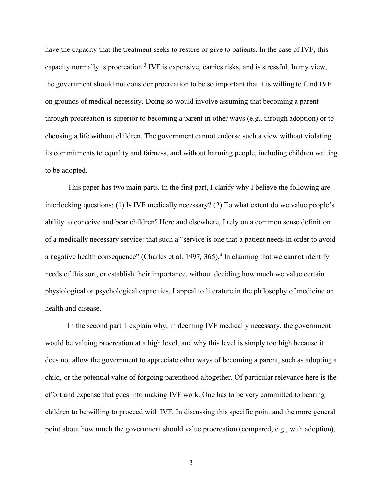have the capacity that the treatment seeks to restore or give to patients. In the case of IVF, this capacity normally is procreation.3 IVF is expensive, carries risks, and is stressful. In my view, the government should not consider procreation to be so important that it is willing to fund IVF on grounds of medical necessity. Doing so would involve assuming that becoming a parent through procreation is superior to becoming a parent in other ways (e.g., through adoption) or to choosing a life without children. The government cannot endorse such a view without violating its commitments to equality and fairness, and without harming people, including children waiting to be adopted.

This paper has two main parts. In the first part, I clarify why I believe the following are interlocking questions: (1) Is IVF medically necessary? (2) To what extent do we value people's ability to conceive and bear children? Here and elsewhere, I rely on a common sense definition of a medically necessary service: that such a "service is one that a patient needs in order to avoid a negative health consequence" (Charles et al. 1997*,* 365). <sup>4</sup> In claiming that we cannot identify needs of this sort, or establish their importance, without deciding how much we value certain physiological or psychological capacities, I appeal to literature in the philosophy of medicine on health and disease.

In the second part, I explain why, in deeming IVF medically necessary, the government would be valuing procreation at a high level, and why this level is simply too high because it does not allow the government to appreciate other ways of becoming a parent, such as adopting a child, or the potential value of forgoing parenthood altogether. Of particular relevance here is the effort and expense that goes into making IVF work. One has to be very committed to bearing children to be willing to proceed with IVF. In discussing this specific point and the more general point about how much the government should value procreation (compared, e.g., with adoption),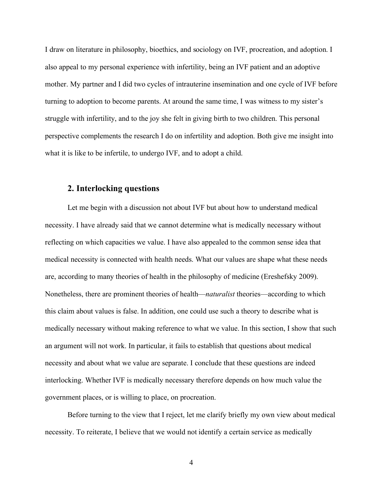I draw on literature in philosophy, bioethics, and sociology on IVF, procreation, and adoption. I also appeal to my personal experience with infertility, being an IVF patient and an adoptive mother. My partner and I did two cycles of intrauterine insemination and one cycle of IVF before turning to adoption to become parents. At around the same time, I was witness to my sister's struggle with infertility, and to the joy she felt in giving birth to two children. This personal perspective complements the research I do on infertility and adoption. Both give me insight into what it is like to be infertile, to undergo IVF, and to adopt a child.

#### **2. Interlocking questions**

Let me begin with a discussion not about IVF but about how to understand medical necessity. I have already said that we cannot determine what is medically necessary without reflecting on which capacities we value. I have also appealed to the common sense idea that medical necessity is connected with health needs. What our values are shape what these needs are, according to many theories of health in the philosophy of medicine (Ereshefsky 2009). Nonetheless, there are prominent theories of health—*naturalist* theories—according to which this claim about values is false. In addition, one could use such a theory to describe what is medically necessary without making reference to what we value. In this section, I show that such an argument will not work. In particular, it fails to establish that questions about medical necessity and about what we value are separate. I conclude that these questions are indeed interlocking. Whether IVF is medically necessary therefore depends on how much value the government places, or is willing to place, on procreation.

Before turning to the view that I reject, let me clarify briefly my own view about medical necessity. To reiterate, I believe that we would not identify a certain service as medically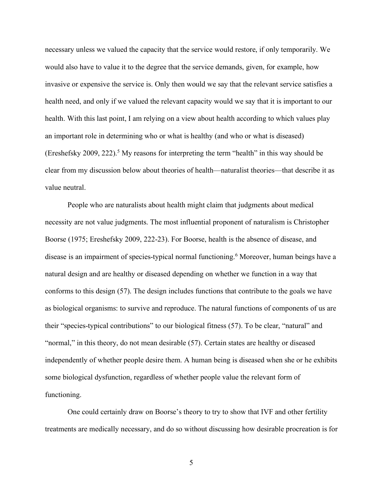necessary unless we valued the capacity that the service would restore, if only temporarily. We would also have to value it to the degree that the service demands, given, for example, how invasive or expensive the service is. Only then would we say that the relevant service satisfies a health need, and only if we valued the relevant capacity would we say that it is important to our health. With this last point, I am relying on a view about health according to which values play an important role in determining who or what is healthy (and who or what is diseased) (Ereshefsky 2009, 222).<sup>5</sup> My reasons for interpreting the term "health" in this way should be clear from my discussion below about theories of health—naturalist theories—that describe it as value neutral.

People who are naturalists about health might claim that judgments about medical necessity are not value judgments. The most influential proponent of naturalism is Christopher Boorse (1975; Ereshefsky 2009, 222-23). For Boorse, health is the absence of disease, and disease is an impairment of species-typical normal functioning.<sup>6</sup> Moreover, human beings have a natural design and are healthy or diseased depending on whether we function in a way that conforms to this design (57). The design includes functions that contribute to the goals we have as biological organisms: to survive and reproduce. The natural functions of components of us are their "species-typical contributions" to our biological fitness (57). To be clear, "natural" and "normal," in this theory, do not mean desirable (57). Certain states are healthy or diseased independently of whether people desire them. A human being is diseased when she or he exhibits some biological dysfunction, regardless of whether people value the relevant form of functioning.

One could certainly draw on Boorse's theory to try to show that IVF and other fertility treatments are medically necessary, and do so without discussing how desirable procreation is for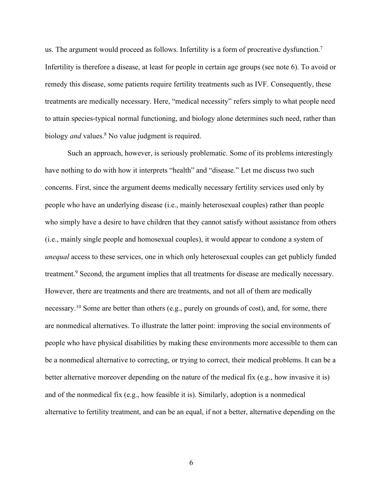us. The argument would proceed as follows. Infertility is a form of procreative dysfunction.<sup>7</sup> Infertility is therefore a disease, at least for people in certain age groups (see note 6). To avoid or remedy this disease, some patients require fertility treatments such as IVF. Consequently, these treatments are medically necessary. Here, "medical necessity" refers simply to what people need to attain species-typical normal functioning, and biology alone determines such need, rather than biology *and* values.<sup>8</sup> No value judgment is required.

Such an approach, however, is seriously problematic. Some of its problems interestingly have nothing to do with how it interprets "health" and "disease." Let me discuss two such concerns. First, since the argument deems medically necessary fertility services used only by people who have an underlying disease (i.e., mainly heterosexual couples) rather than people who simply have a desire to have children that they cannot satisfy without assistance from others (i.e., mainly single people and homosexual couples), it would appear to condone a system of *unequal* access to these services, one in which only heterosexual couples can get publicly funded treatment.<sup>9</sup> Second, the argument implies that all treatments for disease are medically necessary. However, there are treatments and there are treatments, and not all of them are medically necessary.10 Some are better than others (e.g., purely on grounds of cost), and, for some, there are nonmedical alternatives. To illustrate the latter point: improving the social environments of people who have physical disabilities by making these environments more accessible to them can be a nonmedical alternative to correcting, or trying to correct, their medical problems. It can be a better alternative moreover depending on the nature of the medical fix (e.g., how invasive it is) and of the nonmedical fix (e.g., how feasible it is). Similarly, adoption is a nonmedical alternative to fertility treatment, and can be an equal, if not a better, alternative depending on the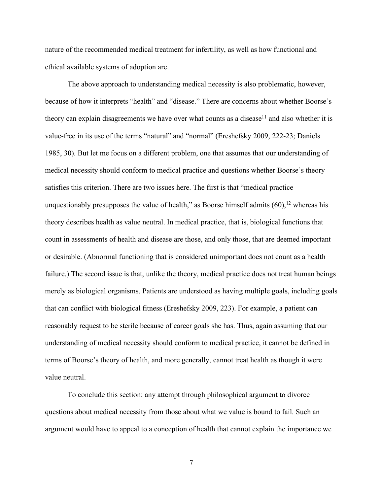nature of the recommended medical treatment for infertility, as well as how functional and ethical available systems of adoption are.

The above approach to understanding medical necessity is also problematic, however, because of how it interprets "health" and "disease." There are concerns about whether Boorse's theory can explain disagreements we have over what counts as a disease<sup>11</sup> and also whether it is value-free in its use of the terms "natural" and "normal" (Ereshefsky 2009, 222-23; Daniels 1985, 30). But let me focus on a different problem, one that assumes that our understanding of medical necessity should conform to medical practice and questions whether Boorse's theory satisfies this criterion. There are two issues here. The first is that "medical practice unquestionably presupposes the value of health," as Boorse himself admits  $(60)$ ,<sup>12</sup> whereas his theory describes health as value neutral. In medical practice, that is, biological functions that count in assessments of health and disease are those, and only those, that are deemed important or desirable. (Abnormal functioning that is considered unimportant does not count as a health failure.) The second issue is that, unlike the theory, medical practice does not treat human beings merely as biological organisms. Patients are understood as having multiple goals, including goals that can conflict with biological fitness (Ereshefsky 2009, 223). For example, a patient can reasonably request to be sterile because of career goals she has. Thus, again assuming that our understanding of medical necessity should conform to medical practice, it cannot be defined in terms of Boorse's theory of health, and more generally, cannot treat health as though it were value neutral.

To conclude this section: any attempt through philosophical argument to divorce questions about medical necessity from those about what we value is bound to fail. Such an argument would have to appeal to a conception of health that cannot explain the importance we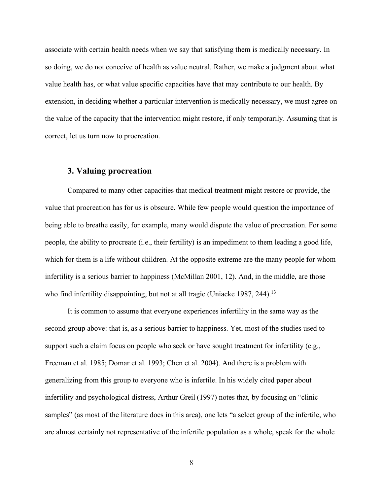associate with certain health needs when we say that satisfying them is medically necessary. In so doing, we do not conceive of health as value neutral. Rather, we make a judgment about what value health has, or what value specific capacities have that may contribute to our health. By extension, in deciding whether a particular intervention is medically necessary, we must agree on the value of the capacity that the intervention might restore, if only temporarily. Assuming that is correct, let us turn now to procreation.

#### **3. Valuing procreation**

Compared to many other capacities that medical treatment might restore or provide, the value that procreation has for us is obscure. While few people would question the importance of being able to breathe easily, for example, many would dispute the value of procreation. For some people, the ability to procreate (i.e., their fertility) is an impediment to them leading a good life, which for them is a life without children. At the opposite extreme are the many people for whom infertility is a serious barrier to happiness (McMillan 2001, 12). And, in the middle, are those who find infertility disappointing, but not at all tragic (Uniacke 1987, 244).<sup>13</sup>

It is common to assume that everyone experiences infertility in the same way as the second group above: that is, as a serious barrier to happiness. Yet, most of the studies used to support such a claim focus on people who seek or have sought treatment for infertility (e.g., Freeman et al. 1985; Domar et al. 1993; Chen et al. 2004). And there is a problem with generalizing from this group to everyone who is infertile. In his widely cited paper about infertility and psychological distress, Arthur Greil (1997) notes that, by focusing on "clinic samples" (as most of the literature does in this area), one lets "a select group of the infertile, who are almost certainly not representative of the infertile population as a whole, speak for the whole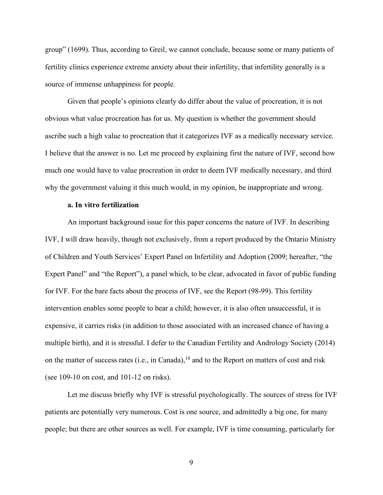group" (1699). Thus, according to Greil, we cannot conclude, because some or many patients of fertility clinics experience extreme anxiety about their infertility, that infertility generally is a source of immense unhappiness for people.

Given that people's opinions clearly do differ about the value of procreation, it is not obvious what value procreation has for us. My question is whether the government should ascribe such a high value to procreation that it categorizes IVF as a medically necessary service. I believe that the answer is no. Let me proceed by explaining first the nature of IVF, second how much one would have to value procreation in order to deem IVF medically necessary, and third why the government valuing it this much would, in my opinion, be inappropriate and wrong.

#### **a. In vitro fertilization**

An important background issue for this paper concerns the nature of IVF. In describing IVF, I will draw heavily, though not exclusively, from a report produced by the Ontario Ministry of Children and Youth Services' Expert Panel on Infertility and Adoption (2009; hereafter, "the Expert Panel" and "the Report"), a panel which, to be clear, advocated in favor of public funding for IVF. For the bare facts about the process of IVF, see the Report (98-99). This fertility intervention enables some people to bear a child; however, it is also often unsuccessful, it is expensive, it carries risks (in addition to those associated with an increased chance of having a multiple birth), and it is stressful. I defer to the Canadian Fertility and Andrology Society (2014) on the matter of success rates (i.e., in Canada), $<sup>14</sup>$  and to the Report on matters of cost and risk</sup> (see 109-10 on cost, and 101-12 on risks).

Let me discuss briefly why IVF is stressful psychologically. The sources of stress for IVF patients are potentially very numerous. Cost is one source, and admittedly a big one, for many people; but there are other sources as well. For example, IVF is time consuming, particularly for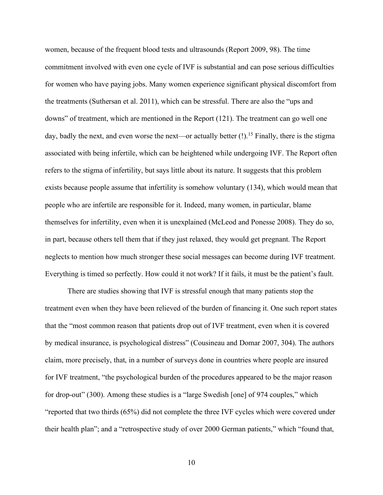women, because of the frequent blood tests and ultrasounds (Report 2009, 98). The time commitment involved with even one cycle of IVF is substantial and can pose serious difficulties for women who have paying jobs. Many women experience significant physical discomfort from the treatments (Suthersan et al. 2011), which can be stressful. There are also the "ups and downs" of treatment, which are mentioned in the Report (121). The treatment can go well one day, badly the next, and even worse the next—or actually better  $(!)$ .<sup>15</sup> Finally, there is the stigma associated with being infertile, which can be heightened while undergoing IVF. The Report often refers to the stigma of infertility, but says little about its nature. It suggests that this problem exists because people assume that infertility is somehow voluntary (134), which would mean that people who are infertile are responsible for it. Indeed, many women, in particular, blame themselves for infertility, even when it is unexplained (McLeod and Ponesse 2008). They do so, in part, because others tell them that if they just relaxed, they would get pregnant. The Report neglects to mention how much stronger these social messages can become during IVF treatment. Everything is timed so perfectly. How could it not work? If it fails, it must be the patient's fault.

There are studies showing that IVF is stressful enough that many patients stop the treatment even when they have been relieved of the burden of financing it. One such report states that the "most common reason that patients drop out of IVF treatment, even when it is covered by medical insurance, is psychological distress" (Cousineau and Domar 2007, 304). The authors claim, more precisely, that, in a number of surveys done in countries where people are insured for IVF treatment, "the psychological burden of the procedures appeared to be the major reason for drop-out" (300). Among these studies is a "large Swedish [one] of 974 couples," which "reported that two thirds (65%) did not complete the three IVF cycles which were covered under their health plan"; and a "retrospective study of over 2000 German patients," which "found that,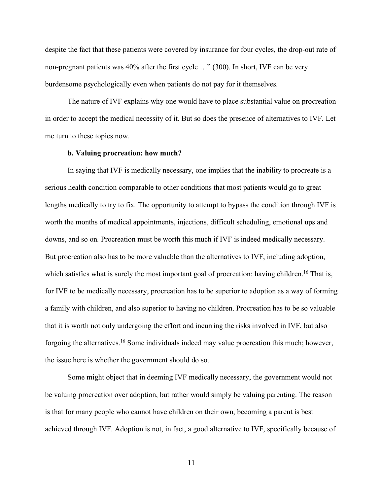despite the fact that these patients were covered by insurance for four cycles, the drop-out rate of non-pregnant patients was 40% after the first cycle …" (300). In short, IVF can be very burdensome psychologically even when patients do not pay for it themselves.

The nature of IVF explains why one would have to place substantial value on procreation in order to accept the medical necessity of it. But so does the presence of alternatives to IVF. Let me turn to these topics now.

#### **b. Valuing procreation: how much?**

In saying that IVF is medically necessary, one implies that the inability to procreate is a serious health condition comparable to other conditions that most patients would go to great lengths medically to try to fix. The opportunity to attempt to bypass the condition through IVF is worth the months of medical appointments, injections, difficult scheduling, emotional ups and downs, and so on*.* Procreation must be worth this much if IVF is indeed medically necessary. But procreation also has to be more valuable than the alternatives to IVF, including adoption, which satisfies what is surely the most important goal of procreation: having children.<sup>16</sup> That is, for IVF to be medically necessary, procreation has to be superior to adoption as a way of forming a family with children, and also superior to having no children. Procreation has to be so valuable that it is worth not only undergoing the effort and incurring the risks involved in IVF, but also forgoing the alternatives.16 Some individuals indeed may value procreation this much; however, the issue here is whether the government should do so.

Some might object that in deeming IVF medically necessary, the government would not be valuing procreation over adoption, but rather would simply be valuing parenting. The reason is that for many people who cannot have children on their own, becoming a parent is best achieved through IVF. Adoption is not, in fact, a good alternative to IVF, specifically because of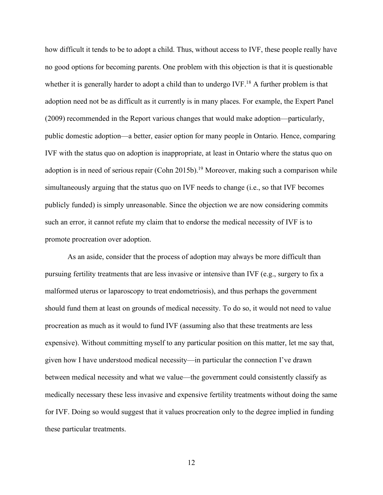how difficult it tends to be to adopt a child. Thus, without access to IVF, these people really have no good options for becoming parents. One problem with this objection is that it is questionable whether it is generally harder to adopt a child than to undergo IVF.<sup>18</sup> A further problem is that adoption need not be as difficult as it currently is in many places. For example, the Expert Panel (2009) recommended in the Report various changes that would make adoption—particularly, public domestic adoption—a better, easier option for many people in Ontario. Hence, comparing IVF with the status quo on adoption is inappropriate, at least in Ontario where the status quo on adoption is in need of serious repair (Cohn 2015b).<sup>19</sup> Moreover, making such a comparison while simultaneously arguing that the status quo on IVF needs to change (i.e., so that IVF becomes publicly funded) is simply unreasonable. Since the objection we are now considering commits such an error, it cannot refute my claim that to endorse the medical necessity of IVF is to promote procreation over adoption.

As an aside, consider that the process of adoption may always be more difficult than pursuing fertility treatments that are less invasive or intensive than IVF (e.g., surgery to fix a malformed uterus or laparoscopy to treat endometriosis), and thus perhaps the government should fund them at least on grounds of medical necessity. To do so, it would not need to value procreation as much as it would to fund IVF (assuming also that these treatments are less expensive). Without committing myself to any particular position on this matter, let me say that, given how I have understood medical necessity—in particular the connection I've drawn between medical necessity and what we value—the government could consistently classify as medically necessary these less invasive and expensive fertility treatments without doing the same for IVF. Doing so would suggest that it values procreation only to the degree implied in funding these particular treatments.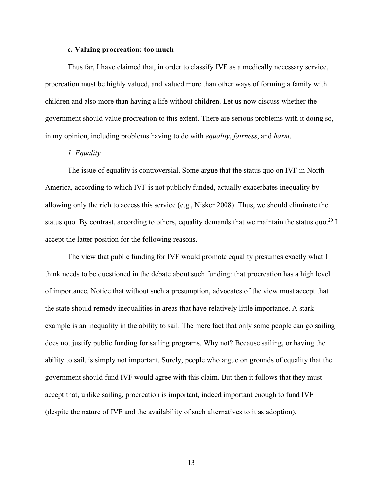#### **c. Valuing procreation: too much**

Thus far, I have claimed that, in order to classify IVF as a medically necessary service, procreation must be highly valued, and valued more than other ways of forming a family with children and also more than having a life without children. Let us now discuss whether the government should value procreation to this extent. There are serious problems with it doing so, in my opinion, including problems having to do with *equality*, *fairness*, and *harm*.

#### *1. Equality*

The issue of equality is controversial. Some argue that the status quo on IVF in North America, according to which IVF is not publicly funded, actually exacerbates inequality by allowing only the rich to access this service (e.g., Nisker 2008). Thus, we should eliminate the status quo. By contrast, according to others, equality demands that we maintain the status quo.<sup>20</sup> I accept the latter position for the following reasons.

The view that public funding for IVF would promote equality presumes exactly what I think needs to be questioned in the debate about such funding: that procreation has a high level of importance. Notice that without such a presumption, advocates of the view must accept that the state should remedy inequalities in areas that have relatively little importance. A stark example is an inequality in the ability to sail. The mere fact that only some people can go sailing does not justify public funding for sailing programs. Why not? Because sailing, or having the ability to sail, is simply not important. Surely, people who argue on grounds of equality that the government should fund IVF would agree with this claim. But then it follows that they must accept that, unlike sailing, procreation is important, indeed important enough to fund IVF (despite the nature of IVF and the availability of such alternatives to it as adoption).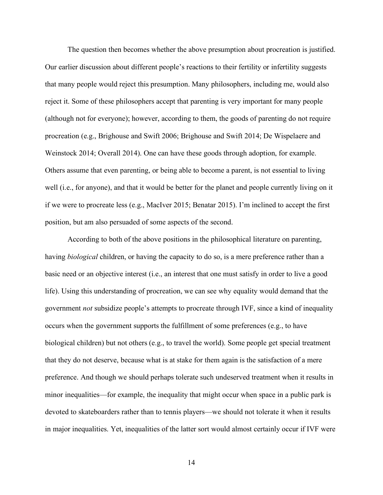The question then becomes whether the above presumption about procreation is justified. Our earlier discussion about different people's reactions to their fertility or infertility suggests that many people would reject this presumption. Many philosophers, including me, would also reject it. Some of these philosophers accept that parenting is very important for many people (although not for everyone); however, according to them, the goods of parenting do not require procreation (e.g., Brighouse and Swift 2006; Brighouse and Swift 2014; De Wispelaere and Weinstock 2014; Overall 2014). One can have these goods through adoption, for example. Others assume that even parenting, or being able to become a parent, is not essential to living well (i.e., for anyone), and that it would be better for the planet and people currently living on it if we were to procreate less (e.g., MacIver 2015; Benatar 2015). I'm inclined to accept the first position, but am also persuaded of some aspects of the second.

According to both of the above positions in the philosophical literature on parenting, having *biological* children, or having the capacity to do so, is a mere preference rather than a basic need or an objective interest (i.e., an interest that one must satisfy in order to live a good life). Using this understanding of procreation, we can see why equality would demand that the government *not* subsidize people's attempts to procreate through IVF, since a kind of inequality occurs when the government supports the fulfillment of some preferences (e.g., to have biological children) but not others (e.g., to travel the world). Some people get special treatment that they do not deserve, because what is at stake for them again is the satisfaction of a mere preference. And though we should perhaps tolerate such undeserved treatment when it results in minor inequalities—for example, the inequality that might occur when space in a public park is devoted to skateboarders rather than to tennis players—we should not tolerate it when it results in major inequalities. Yet, inequalities of the latter sort would almost certainly occur if IVF were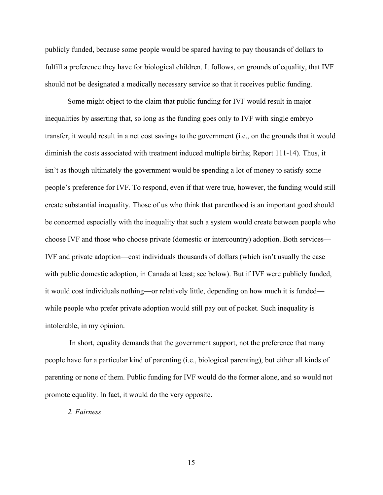publicly funded, because some people would be spared having to pay thousands of dollars to fulfill a preference they have for biological children. It follows, on grounds of equality, that IVF should not be designated a medically necessary service so that it receives public funding.

Some might object to the claim that public funding for IVF would result in major inequalities by asserting that, so long as the funding goes only to IVF with single embryo transfer, it would result in a net cost savings to the government (i.e., on the grounds that it would diminish the costs associated with treatment induced multiple births; Report 111-14). Thus, it isn't as though ultimately the government would be spending a lot of money to satisfy some people's preference for IVF. To respond, even if that were true, however, the funding would still create substantial inequality. Those of us who think that parenthood is an important good should be concerned especially with the inequality that such a system would create between people who choose IVF and those who choose private (domestic or intercountry) adoption. Both services— IVF and private adoption—cost individuals thousands of dollars (which isn't usually the case with public domestic adoption, in Canada at least; see below). But if IVF were publicly funded, it would cost individuals nothing—or relatively little, depending on how much it is funded while people who prefer private adoption would still pay out of pocket. Such inequality is intolerable, in my opinion.

In short, equality demands that the government support, not the preference that many people have for a particular kind of parenting (i.e., biological parenting), but either all kinds of parenting or none of them. Public funding for IVF would do the former alone, and so would not promote equality. In fact, it would do the very opposite.

*2. Fairness*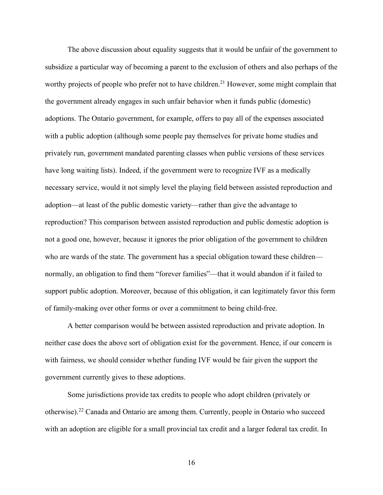The above discussion about equality suggests that it would be unfair of the government to subsidize a particular way of becoming a parent to the exclusion of others and also perhaps of the worthy projects of people who prefer not to have children.<sup>21</sup> However, some might complain that the government already engages in such unfair behavior when it funds public (domestic) adoptions. The Ontario government, for example, offers to pay all of the expenses associated with a public adoption (although some people pay themselves for private home studies and privately run, government mandated parenting classes when public versions of these services have long waiting lists). Indeed, if the government were to recognize IVF as a medically necessary service, would it not simply level the playing field between assisted reproduction and adoption—at least of the public domestic variety—rather than give the advantage to reproduction? This comparison between assisted reproduction and public domestic adoption is not a good one, however, because it ignores the prior obligation of the government to children who are wards of the state. The government has a special obligation toward these children normally, an obligation to find them "forever families"—that it would abandon if it failed to support public adoption. Moreover, because of this obligation, it can legitimately favor this form of family-making over other forms or over a commitment to being child-free.

A better comparison would be between assisted reproduction and private adoption. In neither case does the above sort of obligation exist for the government. Hence, if our concern is with fairness, we should consider whether funding IVF would be fair given the support the government currently gives to these adoptions.

Some jurisdictions provide tax credits to people who adopt children (privately or otherwise).22 Canada and Ontario are among them. Currently, people in Ontario who succeed with an adoption are eligible for a small provincial tax credit and a larger federal tax credit. In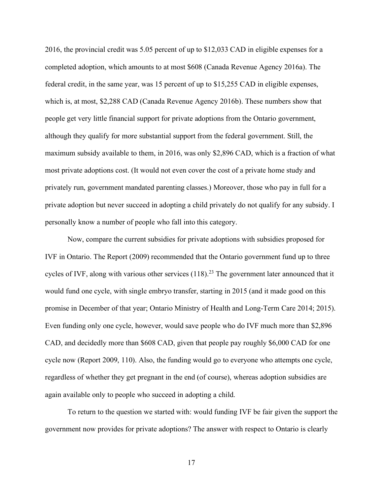2016, the provincial credit was 5.05 percent of up to \$12,033 CAD in eligible expenses for a completed adoption, which amounts to at most \$608 (Canada Revenue Agency 2016a). The federal credit, in the same year, was 15 percent of up to \$15,255 CAD in eligible expenses, which is, at most, \$2,288 CAD (Canada Revenue Agency 2016b). These numbers show that people get very little financial support for private adoptions from the Ontario government, although they qualify for more substantial support from the federal government. Still, the maximum subsidy available to them, in 2016, was only \$2,896 CAD, which is a fraction of what most private adoptions cost. (It would not even cover the cost of a private home study and privately run, government mandated parenting classes.) Moreover, those who pay in full for a private adoption but never succeed in adopting a child privately do not qualify for any subsidy. I personally know a number of people who fall into this category.

Now, compare the current subsidies for private adoptions with subsidies proposed for IVF in Ontario. The Report (2009) recommended that the Ontario government fund up to three cycles of IVF, along with various other services (118).<sup>23</sup> The government later announced that it would fund one cycle, with single embryo transfer, starting in 2015 (and it made good on this promise in December of that year; Ontario Ministry of Health and Long-Term Care 2014; 2015). Even funding only one cycle, however, would save people who do IVF much more than \$2,896 CAD, and decidedly more than \$608 CAD, given that people pay roughly \$6,000 CAD for one cycle now (Report 2009, 110). Also, the funding would go to everyone who attempts one cycle, regardless of whether they get pregnant in the end (of course), whereas adoption subsidies are again available only to people who succeed in adopting a child.

To return to the question we started with: would funding IVF be fair given the support the government now provides for private adoptions? The answer with respect to Ontario is clearly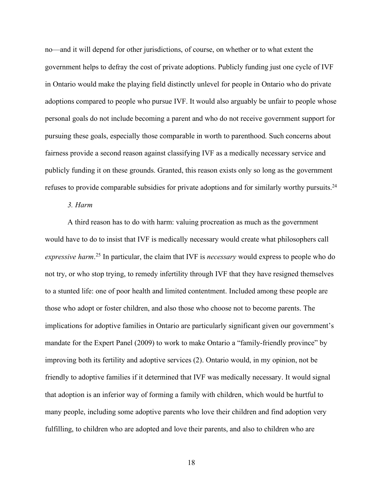no—and it will depend for other jurisdictions, of course, on whether or to what extent the government helps to defray the cost of private adoptions. Publicly funding just one cycle of IVF in Ontario would make the playing field distinctly unlevel for people in Ontario who do private adoptions compared to people who pursue IVF. It would also arguably be unfair to people whose personal goals do not include becoming a parent and who do not receive government support for pursuing these goals, especially those comparable in worth to parenthood. Such concerns about fairness provide a second reason against classifying IVF as a medically necessary service and publicly funding it on these grounds. Granted, this reason exists only so long as the government refuses to provide comparable subsidies for private adoptions and for similarly worthy pursuits.24

#### *3. Harm*

A third reason has to do with harm: valuing procreation as much as the government would have to do to insist that IVF is medically necessary would create what philosophers call *expressive harm*. <sup>25</sup> In particular, the claim that IVF is *necessary* would express to people who do not try, or who stop trying, to remedy infertility through IVF that they have resigned themselves to a stunted life: one of poor health and limited contentment. Included among these people are those who adopt or foster children, and also those who choose not to become parents. The implications for adoptive families in Ontario are particularly significant given our government's mandate for the Expert Panel (2009) to work to make Ontario a "family-friendly province" by improving both its fertility and adoptive services (2). Ontario would, in my opinion, not be friendly to adoptive families if it determined that IVF was medically necessary. It would signal that adoption is an inferior way of forming a family with children, which would be hurtful to many people, including some adoptive parents who love their children and find adoption very fulfilling, to children who are adopted and love their parents, and also to children who are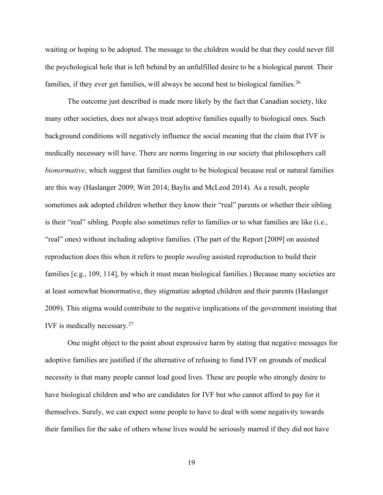waiting or hoping to be adopted. The message to the children would be that they could never fill the psychological hole that is left behind by an unfulfilled desire to be a biological parent. Their families, if they ever get families, will always be second best to biological families.<sup>26</sup>

The outcome just described is made more likely by the fact that Canadian society, like many other societies, does not always treat adoptive families equally to biological ones. Such background conditions will negatively influence the social meaning that the claim that IVF is medically necessary will have. There are norms lingering in our society that philosophers call *bionormative*, which suggest that families ought to be biological because real or natural families are this way (Haslanger 2009; Witt 2014; Baylis and McLeod 2014). As a result, people sometimes ask adopted children whether they know their "real" parents or whether their sibling is their "real" sibling. People also sometimes refer to families or to what families are like (i.e., "real" ones) without including adoptive families. (The part of the Report [2009] on assisted reproduction does this when it refers to people *needing* assisted reproduction to build their families [e.g., 109, 114], by which it must mean biological families.) Because many societies are at least somewhat bionormative, they stigmatize adopted children and their parents (Haslanger 2009). This stigma would contribute to the negative implications of the government insisting that IVF is medically necessary.27

One might object to the point about expressive harm by stating that negative messages for adoptive families are justified if the alternative of refusing to fund IVF on grounds of medical necessity is that many people cannot lead good lives. These are people who strongly desire to have biological children and who are candidates for IVF but who cannot afford to pay for it themselves. Surely, we can expect some people to have to deal with some negativity towards their families for the sake of others whose lives would be seriously marred if they did not have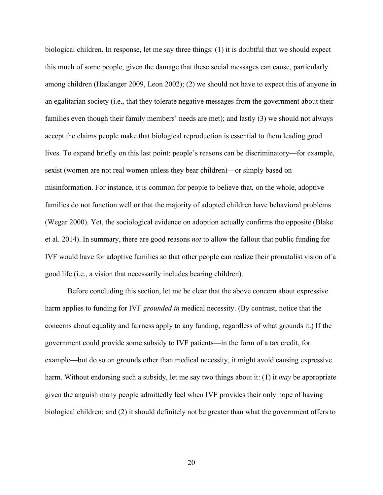biological children. In response, let me say three things: (1) it is doubtful that we should expect this much of some people, given the damage that these social messages can cause, particularly among children (Haslanger 2009, Leon 2002); (2) we should not have to expect this of anyone in an egalitarian society (i.e., that they tolerate negative messages from the government about their families even though their family members' needs are met); and lastly (3) we should not always accept the claims people make that biological reproduction is essential to them leading good lives. To expand briefly on this last point: people's reasons can be discriminatory—for example, sexist (women are not real women unless they bear children)—or simply based on misinformation. For instance, it is common for people to believe that, on the whole, adoptive families do not function well or that the majority of adopted children have behavioral problems (Wegar 2000). Yet, the sociological evidence on adoption actually confirms the opposite (Blake et al. 2014). In summary, there are good reasons *not* to allow the fallout that public funding for IVF would have for adoptive families so that other people can realize their pronatalist vision of a good life (i.e., a vision that necessarily includes bearing children).

Before concluding this section, let me be clear that the above concern about expressive harm applies to funding for IVF *grounded in* medical necessity. (By contrast, notice that the concerns about equality and fairness apply to any funding, regardless of what grounds it.) If the government could provide some subsidy to IVF patients—in the form of a tax credit, for example—but do so on grounds other than medical necessity, it might avoid causing expressive harm. Without endorsing such a subsidy, let me say two things about it: (1) it *may* be appropriate given the anguish many people admittedly feel when IVF provides their only hope of having biological children; and (2) it should definitely not be greater than what the government offers to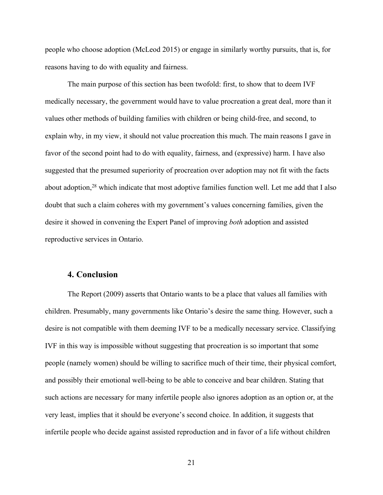people who choose adoption (McLeod 2015) or engage in similarly worthy pursuits, that is, for reasons having to do with equality and fairness.

The main purpose of this section has been twofold: first, to show that to deem IVF medically necessary, the government would have to value procreation a great deal, more than it values other methods of building families with children or being child-free, and second, to explain why, in my view, it should not value procreation this much. The main reasons I gave in favor of the second point had to do with equality, fairness, and (expressive) harm. I have also suggested that the presumed superiority of procreation over adoption may not fit with the facts about adoption,<sup>28</sup> which indicate that most adoptive families function well. Let me add that I also doubt that such a claim coheres with my government's values concerning families, given the desire it showed in convening the Expert Panel of improving *both* adoption and assisted reproductive services in Ontario.

#### **4. Conclusion**

The Report (2009) asserts that Ontario wants to be a place that values all families with children. Presumably, many governments like Ontario's desire the same thing. However, such a desire is not compatible with them deeming IVF to be a medically necessary service. Classifying IVF in this way is impossible without suggesting that procreation is so important that some people (namely women) should be willing to sacrifice much of their time, their physical comfort, and possibly their emotional well-being to be able to conceive and bear children. Stating that such actions are necessary for many infertile people also ignores adoption as an option or, at the very least, implies that it should be everyone's second choice. In addition, it suggests that infertile people who decide against assisted reproduction and in favor of a life without children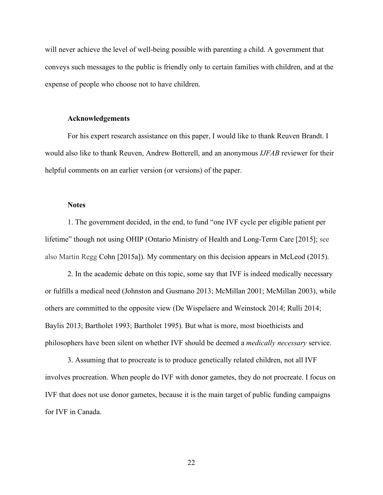will never achieve the level of well-being possible with parenting a child. A government that conveys such messages to the public is friendly only to certain families with children, and at the expense of people who choose not to have children.

#### **Acknowledgements**

For his expert research assistance on this paper, I would like to thank Reuven Brandt. I would also like to thank Reuven, Andrew Botterell, and an anonymous *IJFAB* reviewer for their helpful comments on an earlier version (or versions) of the paper.

#### **Notes**

1. The government decided, in the end, to fund "one IVF cycle per eligible patient per lifetime" though not using OHIP (Ontario Ministry of Health and Long-Term Care [2015]; see also Martin Regg Cohn [2015a]). My commentary on this decision appears in McLeod (2015).

2. In the academic debate on this topic, some say that IVF is indeed medically necessary or fulfills a medical need (Johnston and Gusmano 2013; McMillan 2001; McMillan 2003), while others are committed to the opposite view (De Wispelaere and Weinstock 2014; Rulli 2014; Baylis 2013; Bartholet 1993; Bartholet 1995). But what is more, most bioethicists and philosophers have been silent on whether IVF should be deemed a *medically necessary* service.

3. Assuming that to procreate is to produce genetically related children, not all IVF involves procreation. When people do IVF with donor gametes, they do not procreate. I focus on IVF that does not use donor gametes, because it is the main target of public funding campaigns for IVF in Canada.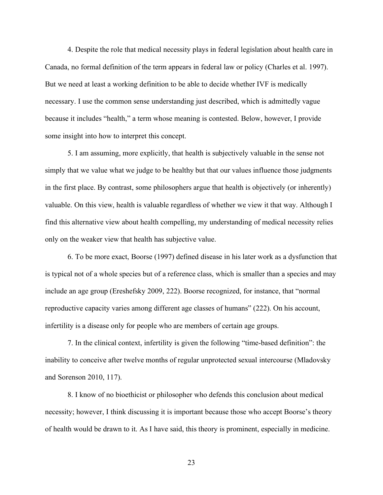4. Despite the role that medical necessity plays in federal legislation about health care in Canada, no formal definition of the term appears in federal law or policy (Charles et al. 1997). But we need at least a working definition to be able to decide whether IVF is medically necessary. I use the common sense understanding just described, which is admittedly vague because it includes "health," a term whose meaning is contested. Below, however, I provide some insight into how to interpret this concept.

5. I am assuming, more explicitly, that health is subjectively valuable in the sense not simply that we value what we judge to be healthy but that our values influence those judgments in the first place. By contrast, some philosophers argue that health is objectively (or inherently) valuable. On this view, health is valuable regardless of whether we view it that way. Although I find this alternative view about health compelling, my understanding of medical necessity relies only on the weaker view that health has subjective value.

6. To be more exact, Boorse (1997) defined disease in his later work as a dysfunction that is typical not of a whole species but of a reference class, which is smaller than a species and may include an age group (Ereshefsky 2009, 222). Boorse recognized, for instance, that "normal reproductive capacity varies among different age classes of humans" (222). On his account, infertility is a disease only for people who are members of certain age groups.

7. In the clinical context, infertility is given the following "time-based definition": the inability to conceive after twelve months of regular unprotected sexual intercourse (Mladovsky and Sorenson 2010, 117).

8. I know of no bioethicist or philosopher who defends this conclusion about medical necessity; however, I think discussing it is important because those who accept Boorse's theory of health would be drawn to it. As I have said, this theory is prominent, especially in medicine.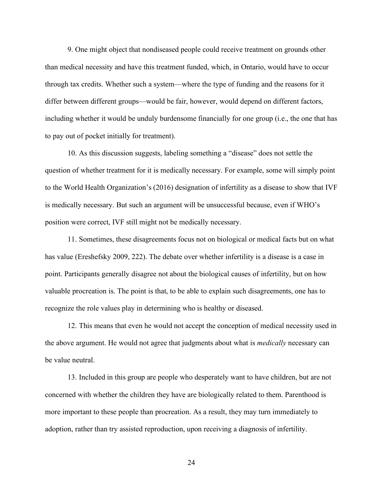9. One might object that nondiseased people could receive treatment on grounds other than medical necessity and have this treatment funded, which, in Ontario, would have to occur through tax credits. Whether such a system—where the type of funding and the reasons for it differ between different groups—would be fair, however, would depend on different factors, including whether it would be unduly burdensome financially for one group (i.e., the one that has to pay out of pocket initially for treatment).

10. As this discussion suggests, labeling something a "disease" does not settle the question of whether treatment for it is medically necessary. For example, some will simply point to the World Health Organization's (2016) designation of infertility as a disease to show that IVF is medically necessary. But such an argument will be unsuccessful because, even if WHO's position were correct, IVF still might not be medically necessary.

11. Sometimes, these disagreements focus not on biological or medical facts but on what has value (Ereshefsky 2009, 222). The debate over whether infertility is a disease is a case in point. Participants generally disagree not about the biological causes of infertility, but on how valuable procreation is. The point is that, to be able to explain such disagreements, one has to recognize the role values play in determining who is healthy or diseased.

12. This means that even he would not accept the conception of medical necessity used in the above argument. He would not agree that judgments about what is *medically* necessary can be value neutral.

13. Included in this group are people who desperately want to have children, but are not concerned with whether the children they have are biologically related to them. Parenthood is more important to these people than procreation. As a result, they may turn immediately to adoption, rather than try assisted reproduction, upon receiving a diagnosis of infertility.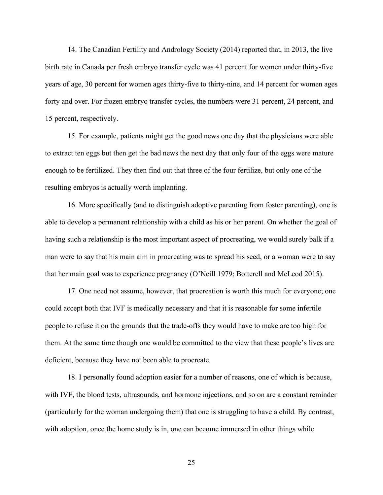14. The Canadian Fertility and Andrology Society (2014) reported that, in 2013, the live birth rate in Canada per fresh embryo transfer cycle was 41 percent for women under thirty-five years of age, 30 percent for women ages thirty-five to thirty-nine, and 14 percent for women ages forty and over. For frozen embryo transfer cycles, the numbers were 31 percent, 24 percent, and 15 percent, respectively.

15. For example, patients might get the good news one day that the physicians were able to extract ten eggs but then get the bad news the next day that only four of the eggs were mature enough to be fertilized. They then find out that three of the four fertilize, but only one of the resulting embryos is actually worth implanting.

16. More specifically (and to distinguish adoptive parenting from foster parenting), one is able to develop a permanent relationship with a child as his or her parent. On whether the goal of having such a relationship is the most important aspect of procreating, we would surely balk if a man were to say that his main aim in procreating was to spread his seed, or a woman were to say that her main goal was to experience pregnancy (O'Neill 1979; Botterell and McLeod 2015).

17. One need not assume, however, that procreation is worth this much for everyone; one could accept both that IVF is medically necessary and that it is reasonable for some infertile people to refuse it on the grounds that the trade-offs they would have to make are too high for them. At the same time though one would be committed to the view that these people's lives are deficient, because they have not been able to procreate.

18. I personally found adoption easier for a number of reasons, one of which is because, with IVF, the blood tests, ultrasounds, and hormone injections, and so on are a constant reminder (particularly for the woman undergoing them) that one is struggling to have a child. By contrast, with adoption, once the home study is in, one can become immersed in other things while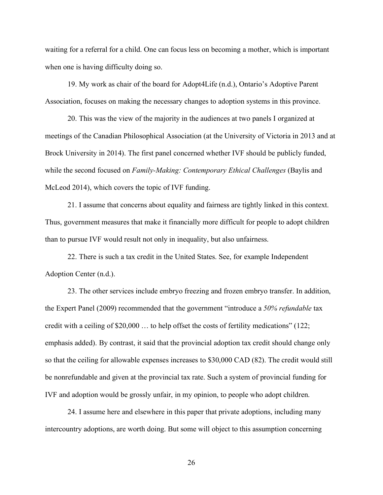waiting for a referral for a child. One can focus less on becoming a mother, which is important when one is having difficulty doing so.

19. My work as chair of the board for Adopt4Life (n.d.), Ontario's Adoptive Parent Association, focuses on making the necessary changes to adoption systems in this province.

20. This was the view of the majority in the audiences at two panels I organized at meetings of the Canadian Philosophical Association (at the University of Victoria in 2013 and at Brock University in 2014). The first panel concerned whether IVF should be publicly funded, while the second focused on *Family-Making: Contemporary Ethical Challenges* (Baylis and McLeod 2014), which covers the topic of IVF funding.

21. I assume that concerns about equality and fairness are tightly linked in this context. Thus, government measures that make it financially more difficult for people to adopt children than to pursue IVF would result not only in inequality, but also unfairness.

22. There is such a tax credit in the United States. See, for example Independent Adoption Center (n.d.).

23. The other services include embryo freezing and frozen embryo transfer. In addition, the Expert Panel (2009) recommended that the government "introduce a *50% refundable* tax credit with a ceiling of \$20,000 … to help offset the costs of fertility medications" (122; emphasis added). By contrast, it said that the provincial adoption tax credit should change only so that the ceiling for allowable expenses increases to \$30,000 CAD (82). The credit would still be nonrefundable and given at the provincial tax rate. Such a system of provincial funding for IVF and adoption would be grossly unfair, in my opinion, to people who adopt children.

24. I assume here and elsewhere in this paper that private adoptions, including many intercountry adoptions, are worth doing. But some will object to this assumption concerning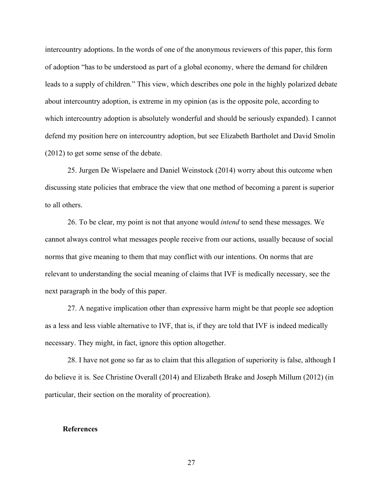intercountry adoptions. In the words of one of the anonymous reviewers of this paper, this form of adoption "has to be understood as part of a global economy, where the demand for children leads to a supply of children." This view, which describes one pole in the highly polarized debate about intercountry adoption, is extreme in my opinion (as is the opposite pole, according to which intercountry adoption is absolutely wonderful and should be seriously expanded). I cannot defend my position here on intercountry adoption, but see Elizabeth Bartholet and David Smolin (2012) to get some sense of the debate.

25. Jurgen De Wispelaere and Daniel Weinstock (2014) worry about this outcome when discussing state policies that embrace the view that one method of becoming a parent is superior to all others.

26. To be clear, my point is not that anyone would *intend* to send these messages. We cannot always control what messages people receive from our actions, usually because of social norms that give meaning to them that may conflict with our intentions. On norms that are relevant to understanding the social meaning of claims that IVF is medically necessary, see the next paragraph in the body of this paper.

27. A negative implication other than expressive harm might be that people see adoption as a less and less viable alternative to IVF, that is, if they are told that IVF is indeed medically necessary. They might, in fact, ignore this option altogether.

28. I have not gone so far as to claim that this allegation of superiority is false, although I do believe it is. See Christine Overall (2014) and Elizabeth Brake and Joseph Millum (2012) (in particular, their section on the morality of procreation).

#### **References**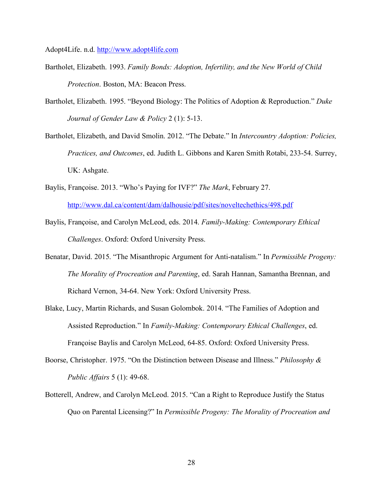Adopt4Life. n.d. http://www.adopt4life.com

- Bartholet, Elizabeth. 1993. *Family Bonds: Adoption, Infertility, and the New World of Child Protection*. Boston, MA: Beacon Press.
- Bartholet, Elizabeth. 1995. "Beyond Biology: The Politics of Adoption & Reproduction." *Duke Journal of Gender Law & Policy* 2 (1): 5-13.
- Bartholet, Elizabeth, and David Smolin. 2012. "The Debate." In *Intercountry Adoption: Policies, Practices, and Outcomes*, ed. Judith L. Gibbons and Karen Smith Rotabi, 233-54. Surrey, UK: Ashgate.
- Baylis, Françoise. 2013. "Who's Paying for IVF?" *The Mark*, February 27. http://www.dal.ca/content/dam/dalhousie/pdf/sites/noveltechethics/498.pdf
- Baylis, Françoise, and Carolyn McLeod, eds. 2014. *Family-Making: Contemporary Ethical Challenges*. Oxford: Oxford University Press.
- Benatar, David. 2015. "The Misanthropic Argument for Anti-natalism." In *Permissible Progeny: The Morality of Procreation and Parenting*, ed. Sarah Hannan, Samantha Brennan, and Richard Vernon, 34-64. New York: Oxford University Press.
- Blake, Lucy, Martin Richards, and Susan Golombok. 2014. "The Families of Adoption and Assisted Reproduction." In *Family-Making: Contemporary Ethical Challenges*, ed. Françoise Baylis and Carolyn McLeod, 64-85. Oxford: Oxford University Press.
- Boorse, Christopher. 1975. "On the Distinction between Disease and Illness." *Philosophy & Public Affairs* 5 (1): 49-68.
- Botterell, Andrew, and Carolyn McLeod. 2015. "Can a Right to Reproduce Justify the Status Quo on Parental Licensing?" In *Permissible Progeny: The Morality of Procreation and*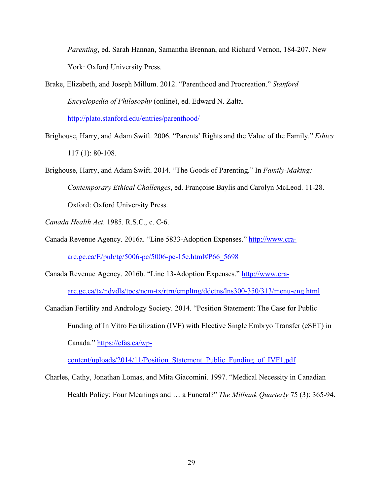*Parenting*, ed. Sarah Hannan, Samantha Brennan, and Richard Vernon, 184-207. New York: Oxford University Press.

- Brake, Elizabeth, and Joseph Millum. 2012. "Parenthood and Procreation." *Stanford Encyclopedia of Philosophy* (online), ed. Edward N. Zalta. http://plato.stanford.edu/entries/parenthood/
- Brighouse, Harry, and Adam Swift. 2006. "Parents' Rights and the Value of the Family." *Ethics*  117 (1): 80-108.
- Brighouse, Harry, and Adam Swift. 2014. "The Goods of Parenting." In *Family-Making: Contemporary Ethical Challenges*, ed. Françoise Baylis and Carolyn McLeod. 11-28. Oxford: Oxford University Press.
- *Canada Health Act*. 1985. R.S.C., c. C-6.
- Canada Revenue Agency. 2016a. "Line 5833-Adoption Expenses." http://www.craarc.gc.ca/E/pub/tg/5006-pc/5006-pc-15e.html#P66\_5698
- Canada Revenue Agency. 2016b. "Line 13-Adoption Expenses." http://www.cra-

arc.gc.ca/tx/ndvdls/tpcs/ncm-tx/rtrn/cmpltng/ddctns/lns300-350/313/menu-eng.html

Canadian Fertility and Andrology Society. 2014. "Position Statement: The Case for Public Funding of In Vitro Fertilization (IVF) with Elective Single Embryo Transfer (eSET) in Canada." https://cfas.ca/wp-

content/uploads/2014/11/Position\_Statement\_Public\_Funding\_of\_IVF1.pdf

Charles, Cathy, Jonathan Lomas, and Mita Giacomini. 1997. "Medical Necessity in Canadian Health Policy: Four Meanings and … a Funeral?" *The Milbank Quarterly* 75 (3): 365-94.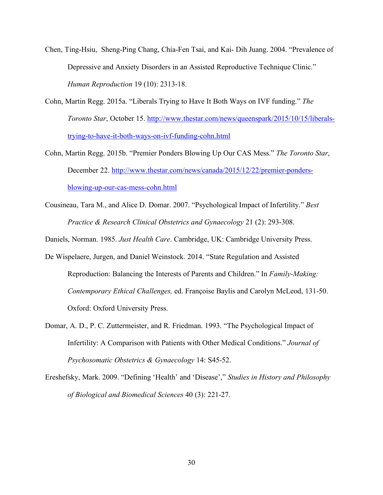- Chen, Ting-Hsiu, Sheng-Ping Chang, Chia-Fen Tsai, and Kai- Dih Juang. 2004. "Prevalence of Depressive and Anxiety Disorders in an Assisted Reproductive Technique Clinic." *Human Reproduction* 19 (10): 2313-18.
- Cohn, Martin Regg. 2015a. "Liberals Trying to Have It Both Ways on IVF funding." *The Toronto Star*, October 15. http://www.thestar.com/news/queenspark/2015/10/15/liberalstrying-to-have-it-both-ways-on-ivf-funding-cohn.html
- Cohn, Martin Regg. 2015b. "Premier Ponders Blowing Up Our CAS Mess." *The Toronto Star*, December 22. http://www.thestar.com/news/canada/2015/12/22/premier-pondersblowing-up-our-cas-mess-cohn.html
- Cousineau, Tara M., and Alice D. Domar. 2007. "Psychological Impact of Infertility." *Best Practice & Research Clinical Obstetrics and Gynaecology* 21 (2): 293-308.

Daniels, Norman. 1985. *Just Health Care*. Cambridge, UK: Cambridge University Press.

- De Wispelaere, Jurgen, and Daniel Weinstock. 2014. "State Regulation and Assisted Reproduction: Balancing the Interests of Parents and Children." In *Family-Making: Contemporary Ethical Challenges,* ed. Françoise Baylis and Carolyn McLeod, 131-50. Oxford: Oxford University Press.
- Domar, A. D., P. C. Zuttermeister, and R. Friedman. 1993. "The Psychological Impact of Infertility: A Comparison with Patients with Other Medical Conditions." *Journal of Psychosomatic Obstetrics & Gynaecology* 14: S45-52.
- Ereshefsky, Mark. 2009. "Defining 'Health' and 'Disease'," *Studies in History and Philosophy of Biological and Biomedical Sciences* 40 (3): 221-27.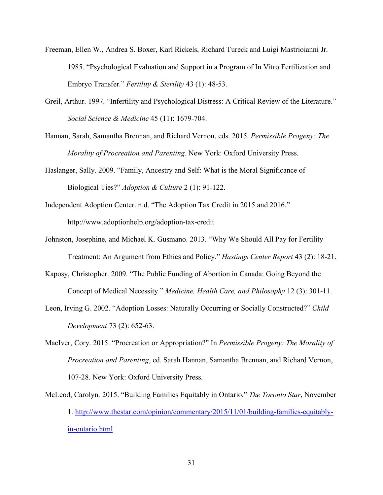- Freeman, Ellen W., Andrea S. Boxer, Karl Rickels, Richard Tureck and Luigi Mastrioianni Jr. 1985. "Psychological Evaluation and Support in a Program of In Vitro Fertilization and Embryo Transfer." *Fertility & Sterility* 43 (1): 48-53.
- Greil, Arthur. 1997. "Infertility and Psychological Distress: A Critical Review of the Literature." *Social Science & Medicine* 45 (11): 1679-704.
- Hannan, Sarah, Samantha Brennan, and Richard Vernon, eds. 2015. *Permissible Progeny: The Morality of Procreation and Parenting*. New York: Oxford University Press.
- Haslanger, Sally. 2009. "Family, Ancestry and Self: What is the Moral Significance of Biological Ties?" *Adoption & Culture* 2 (1): 91-122.
- Independent Adoption Center. n.d. "The Adoption Tax Credit in 2015 and 2016." http://www.adoptionhelp.org/adoption-tax-credit
- Johnston, Josephine, and Michael K. Gusmano. 2013. "Why We Should All Pay for Fertility Treatment: An Argument from Ethics and Policy." *Hastings Center Report* 43 (2): 18-21.
- Kaposy, Christopher. 2009. "The Public Funding of Abortion in Canada: Going Beyond the Concept of Medical Necessity." *Medicine, Health Care, and Philosophy* 12 (3): 301-11.
- Leon, Irving G. 2002. "Adoption Losses: Naturally Occurring or Socially Constructed?" *Child Development* 73 (2): 652-63.
- MacIver, Cory. 2015. "Procreation or Appropriation?" In *Permissible Progeny: The Morality of Procreation and Parenting*, ed. Sarah Hannan, Samantha Brennan, and Richard Vernon, 107-28. New York: Oxford University Press.
- McLeod, Carolyn. 2015. "Building Families Equitably in Ontario." *The Toronto Star*, November 1. http://www.thestar.com/opinion/commentary/2015/11/01/building-families-equitablyin-ontario.html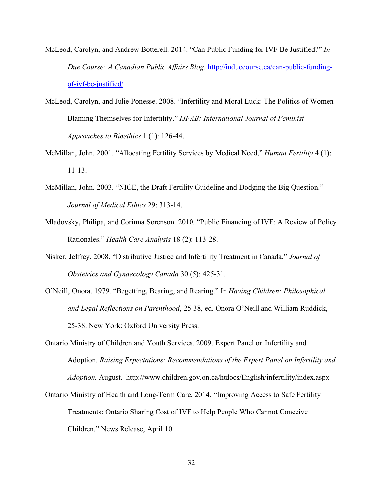- McLeod, Carolyn, and Andrew Botterell. 2014. "Can Public Funding for IVF Be Justified?" *In Due Course: A Canadian Public Affairs Blog*. http://induecourse.ca/can-public-fundingof-ivf-be-justified/
- McLeod, Carolyn, and Julie Ponesse. 2008. "Infertility and Moral Luck: The Politics of Women Blaming Themselves for Infertility." *IJFAB: International Journal of Feminist Approaches to Bioethics* 1 (1): 126-44.
- McMillan, John. 2001. "Allocating Fertility Services by Medical Need," *Human Fertility* 4 (1): 11-13.
- McMillan, John. 2003. "NICE, the Draft Fertility Guideline and Dodging the Big Question." *Journal of Medical Ethics* 29: 313-14.
- Mladovsky, Philipa, and Corinna Sorenson. 2010. "Public Financing of IVF: A Review of Policy Rationales." *Health Care Analysis* 18 (2): 113-28.
- Nisker, Jeffrey. 2008. "Distributive Justice and Infertility Treatment in Canada." *Journal of Obstetrics and Gynaecology Canada* 30 (5): 425-31.
- O'Neill, Onora. 1979. "Begetting, Bearing, and Rearing." In *Having Children: Philosophical and Legal Reflections on Parenthood*, 25-38, ed. Onora O'Neill and William Ruddick, 25-38. New York: Oxford University Press.
- Ontario Ministry of Children and Youth Services. 2009. Expert Panel on Infertility and Adoption. *Raising Expectations: Recommendations of the Expert Panel on Infertility and Adoption,* August. http://www.children.gov.on.ca/htdocs/English/infertility/index.aspx
- Ontario Ministry of Health and Long-Term Care. 2014. "Improving Access to Safe Fertility Treatments: Ontario Sharing Cost of IVF to Help People Who Cannot Conceive Children." News Release, April 10.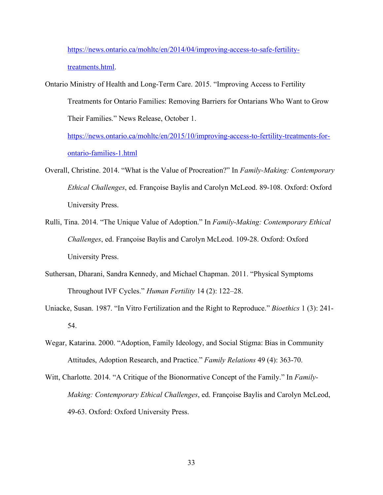https://news.ontario.ca/mohltc/en/2014/04/improving-access-to-safe-fertilitytreatments.html.

Ontario Ministry of Health and Long-Term Care. 2015. "Improving Access to Fertility Treatments for Ontario Families: Removing Barriers for Ontarians Who Want to Grow Their Families." News Release, October 1.

https://news.ontario.ca/mohltc/en/2015/10/improving-access-to-fertility-treatments-forontario-families-1.html

- Overall, Christine. 2014. "What is the Value of Procreation?" In *Family-Making: Contemporary Ethical Challenges*, ed. Françoise Baylis and Carolyn McLeod. 89-108. Oxford: Oxford University Press.
- Rulli, Tina. 2014. "The Unique Value of Adoption." In *Family-Making: Contemporary Ethical Challenges*, ed. Françoise Baylis and Carolyn McLeod. 109-28. Oxford: Oxford University Press.
- Suthersan, Dharani, Sandra Kennedy, and Michael Chapman. 2011. "Physical Symptoms Throughout IVF Cycles." *Human Fertility* 14 (2): 122–28.
- Uniacke, Susan. 1987. "In Vitro Fertilization and the Right to Reproduce." *Bioethics* 1 (3): 241- 54.
- Wegar, Katarina. 2000. "Adoption, Family Ideology, and Social Stigma: Bias in Community Attitudes, Adoption Research, and Practice." *Family Relations* 49 (4): 363-70.
- Witt, Charlotte. 2014. "A Critique of the Bionormative Concept of the Family." In *Family-Making: Contemporary Ethical Challenges*, ed. Françoise Baylis and Carolyn McLeod, 49-63. Oxford: Oxford University Press.